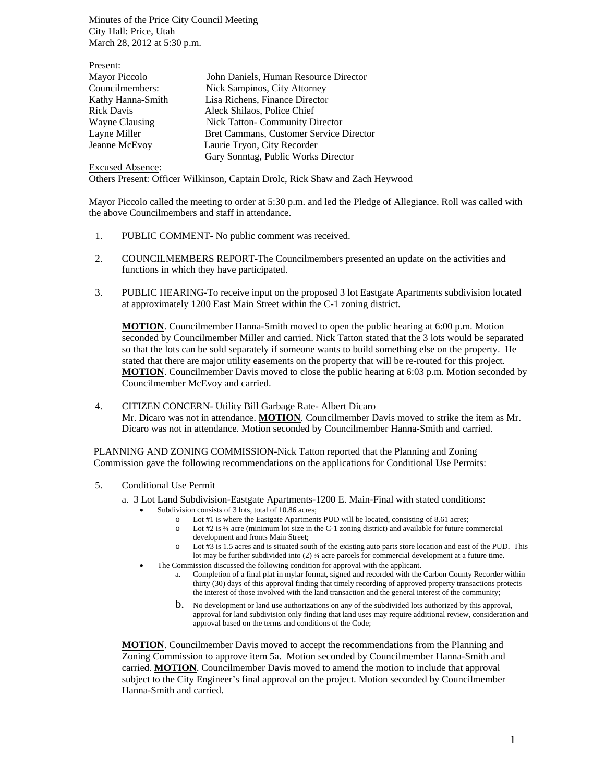Minutes of the Price City Council Meeting City Hall: Price, Utah March 28, 2012 at 5:30 p.m.

| Present:          |                                         |
|-------------------|-----------------------------------------|
| Mayor Piccolo     | John Daniels, Human Resource Director   |
| Councilmembers:   | Nick Sampinos, City Attorney            |
| Kathy Hanna-Smith | Lisa Richens, Finance Director          |
| <b>Rick Davis</b> | Aleck Shilaos, Police Chief             |
| Wayne Clausing    | <b>Nick Tatton- Community Director</b>  |
| Layne Miller      | Bret Cammans, Customer Service Director |
| Jeanne McEvoy     | Laurie Tryon, City Recorder             |
|                   | Gary Sonntag, Public Works Director     |

Excused Absence: Others Present: Officer Wilkinson, Captain Drolc, Rick Shaw and Zach Heywood

Mayor Piccolo called the meeting to order at 5:30 p.m. and led the Pledge of Allegiance. Roll was called with the above Councilmembers and staff in attendance.

- 1. PUBLIC COMMENT- No public comment was received.
- 2. COUNCILMEMBERS REPORT-The Councilmembers presented an update on the activities and functions in which they have participated.
- 3. PUBLIC HEARING-To receive input on the proposed 3 lot Eastgate Apartments subdivision located at approximately 1200 East Main Street within the C-1 zoning district.

**MOTION**. Councilmember Hanna-Smith moved to open the public hearing at 6:00 p.m. Motion seconded by Councilmember Miller and carried. Nick Tatton stated that the 3 lots would be separated so that the lots can be sold separately if someone wants to build something else on the property. He stated that there are major utility easements on the property that will be re-routed for this project. **MOTION**. Councilmember Davis moved to close the public hearing at 6:03 p.m. Motion seconded by Councilmember McEvoy and carried.

4. CITIZEN CONCERN- Utility Bill Garbage Rate- Albert Dicaro Mr. Dicaro was not in attendance. **MOTION**. Councilmember Davis moved to strike the item as Mr. Dicaro was not in attendance. Motion seconded by Councilmember Hanna-Smith and carried.

PLANNING AND ZONING COMMISSION-Nick Tatton reported that the Planning and Zoning Commission gave the following recommendations on the applications for Conditional Use Permits:

- 5. Conditional Use Permit
	- a. 3 Lot Land Subdivision-Eastgate Apartments-1200 E. Main-Final with stated conditions:
		- Subdivision consists of 3 lots, total of 10.86 acres;
			- o Lot #1 is where the Eastgate Apartments PUD will be located, consisting of 8.61 acres;
			- o Lot #2 is ¾ acre (minimum lot size in the C-1 zoning district) and available for future commercial development and fronts Main Street;
			- o Lot #3 is 1.5 acres and is situated south of the existing auto parts store location and east of the PUD. This lot may be further subdivided into (2) ¾ acre parcels for commercial development at a future time.
			- The Commission discussed the following condition for approval with the applicant.
				- a. Completion of a final plat in mylar format, signed and recorded with the Carbon County Recorder within thirty (30) days of this approval finding that timely recording of approved property transactions protects the interest of those involved with the land transaction and the general interest of the community;
				- b. No development or land use authorizations on any of the subdivided lots authorized by this approval, approval for land subdivision only finding that land uses may require additional review, consideration and approval based on the terms and conditions of the Code;

**MOTION**. Councilmember Davis moved to accept the recommendations from the Planning and Zoning Commission to approve item 5a. Motion seconded by Councilmember Hanna-Smith and carried. **MOTION**. Councilmember Davis moved to amend the motion to include that approval subject to the City Engineer's final approval on the project. Motion seconded by Councilmember Hanna-Smith and carried.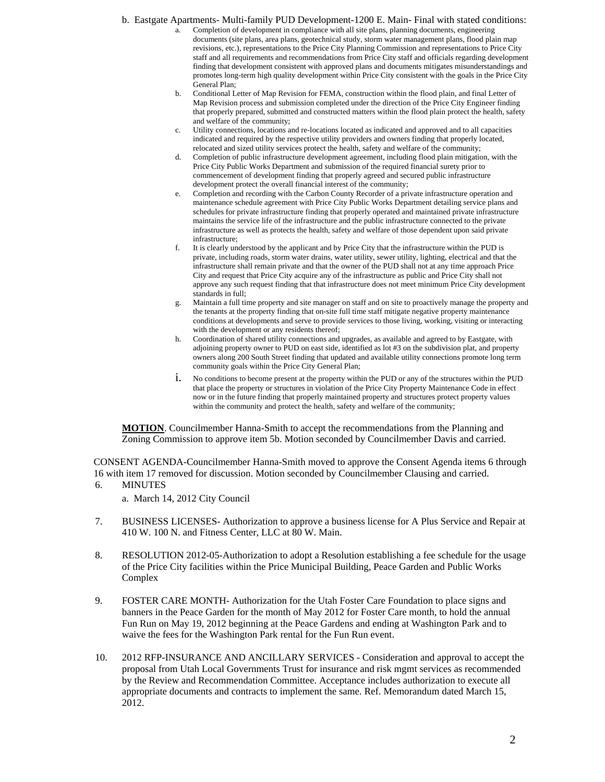b. Eastgate Apartments- Multi-family PUD Development-1200 E. Main- Final with stated conditions: a. Completion of development in compliance with all site plans, planning documents, engineering

- documents (site plans, area plans, geotechnical study, storm water management plans, flood plain map revisions, etc.), representations to the Price City Planning Commission and representations to Price City staff and all requirements and recommendations from Price City staff and officials regarding development finding that development consistent with approved plans and documents mitigates misunderstandings and promotes long-term high quality development within Price City consistent with the goals in the Price City General Plan;
- b. Conditional Letter of Map Revision for FEMA, construction within the flood plain, and final Letter of Map Revision process and submission completed under the direction of the Price City Engineer finding that properly prepared, submitted and constructed matters within the flood plain protect the health, safety and welfare of the community;
- c. Utility connections, locations and re-locations located as indicated and approved and to all capacities indicated and required by the respective utility providers and owners finding that properly located, relocated and sized utility services protect the health, safety and welfare of the community;
- d. Completion of public infrastructure development agreement, including flood plain mitigation, with the Price City Public Works Department and submission of the required financial surety prior to commencement of development finding that properly agreed and secured public infrastructure development protect the overall financial interest of the community;
- e. Completion and recording with the Carbon County Recorder of a private infrastructure operation and maintenance schedule agreement with Price City Public Works Department detailing service plans and schedules for private infrastructure finding that properly operated and maintained private infrastructure maintains the service life of the infrastructure and the public infrastructure connected to the private infrastructure as well as protects the health, safety and welfare of those dependent upon said private infrastructure;
- f. It is clearly understood by the applicant and by Price City that the infrastructure within the PUD is private, including roads, storm water drains, water utility, sewer utility, lighting, electrical and that the infrastructure shall remain private and that the owner of the PUD shall not at any time approach Price City and request that Price City acquire any of the infrastructure as public and Price City shall not approve any such request finding that that infrastructure does not meet minimum Price City development standards in full;
- g. Maintain a full time property and site manager on staff and on site to proactively manage the property and the tenants at the property finding that on-site full time staff mitigate negative property maintenance conditions at developments and serve to provide services to those living, working, visiting or interacting with the development or any residents thereof;
- h. Coordination of shared utility connections and upgrades, as available and agreed to by Eastgate, with adjoining property owner to PUD on east side, identified as lot #3 on the subdivision plat, and property owners along 200 South Street finding that updated and available utility connections promote long term community goals within the Price City General Plan;
- i. No conditions to become present at the property within the PUD or any of the structures within the PUD that place the property or structures in violation of the Price City Property Maintenance Code in effect now or in the future finding that properly maintained property and structures protect property values within the community and protect the health, safety and welfare of the community;

**MOTION**. Councilmember Hanna-Smith to accept the recommendations from the Planning and Zoning Commission to approve item 5b. Motion seconded by Councilmember Davis and carried.

CONSENT AGENDA-Councilmember Hanna-Smith moved to approve the Consent Agenda items 6 through 16 with item 17 removed for discussion. Motion seconded by Councilmember Clausing and carried.

6. MINUTES

a. March 14, 2012 City Council

- 7. BUSINESS LICENSES- Authorization to approve a business license for A Plus Service and Repair at 410 W. 100 N. and Fitness Center, LLC at 80 W. Main.
- 8. RESOLUTION 2012-05-Authorization to adopt a Resolution establishing a fee schedule for the usage of the Price City facilities within the Price Municipal Building, Peace Garden and Public Works Complex
- 9. FOSTER CARE MONTH- Authorization for the Utah Foster Care Foundation to place signs and banners in the Peace Garden for the month of May 2012 for Foster Care month, to hold the annual Fun Run on May 19, 2012 beginning at the Peace Gardens and ending at Washington Park and to waive the fees for the Washington Park rental for the Fun Run event.
- 10. 2012 RFP-INSURANCE AND ANCILLARY SERVICES Consideration and approval to accept the proposal from Utah Local Governments Trust for insurance and risk mgmt services as recommended by the Review and Recommendation Committee. Acceptance includes authorization to execute all appropriate documents and contracts to implement the same. Ref. Memorandum dated March 15, 2012.